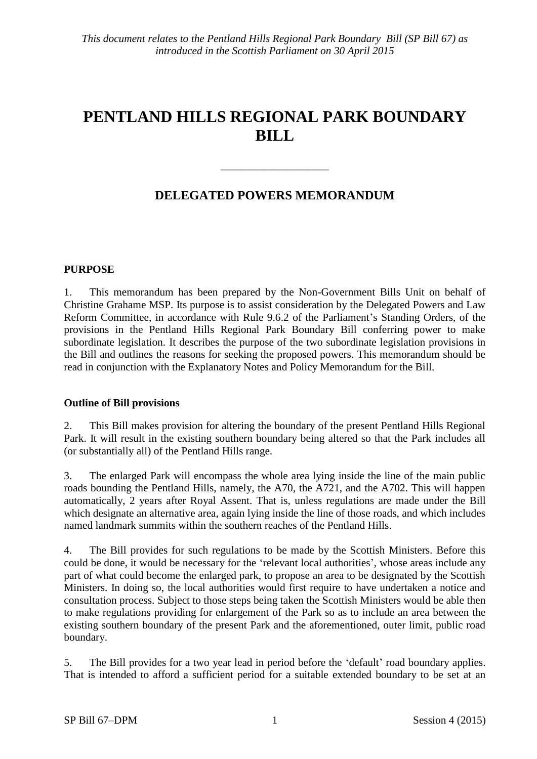## **PENTLAND HILLS REGIONAL PARK BOUNDARY BILL**

## **DELEGATED POWERS MEMORANDUM**

 $\frac{1}{\sqrt{2}}$ 

#### **PURPOSE**

1. This memorandum has been prepared by the Non-Government Bills Unit on behalf of Christine Grahame MSP. Its purpose is to assist consideration by the Delegated Powers and Law Reform Committee, in accordance with Rule 9.6.2 of the Parliament's Standing Orders, of the provisions in the Pentland Hills Regional Park Boundary Bill conferring power to make subordinate legislation. It describes the purpose of the two subordinate legislation provisions in the Bill and outlines the reasons for seeking the proposed powers. This memorandum should be read in conjunction with the Explanatory Notes and Policy Memorandum for the Bill.

#### **Outline of Bill provisions**

2. This Bill makes provision for altering the boundary of the present Pentland Hills Regional Park. It will result in the existing southern boundary being altered so that the Park includes all (or substantially all) of the Pentland Hills range.

3. The enlarged Park will encompass the whole area lying inside the line of the main public roads bounding the Pentland Hills, namely, the A70, the A721, and the A702. This will happen automatically, 2 years after Royal Assent. That is, unless regulations are made under the Bill which designate an alternative area, again lying inside the line of those roads, and which includes named landmark summits within the southern reaches of the Pentland Hills.

4. The Bill provides for such regulations to be made by the Scottish Ministers. Before this could be done, it would be necessary for the 'relevant local authorities', whose areas include any part of what could become the enlarged park, to propose an area to be designated by the Scottish Ministers. In doing so, the local authorities would first require to have undertaken a notice and consultation process. Subject to those steps being taken the Scottish Ministers would be able then to make regulations providing for enlargement of the Park so as to include an area between the existing southern boundary of the present Park and the aforementioned, outer limit, public road boundary.

5. The Bill provides for a two year lead in period before the 'default' road boundary applies. That is intended to afford a sufficient period for a suitable extended boundary to be set at an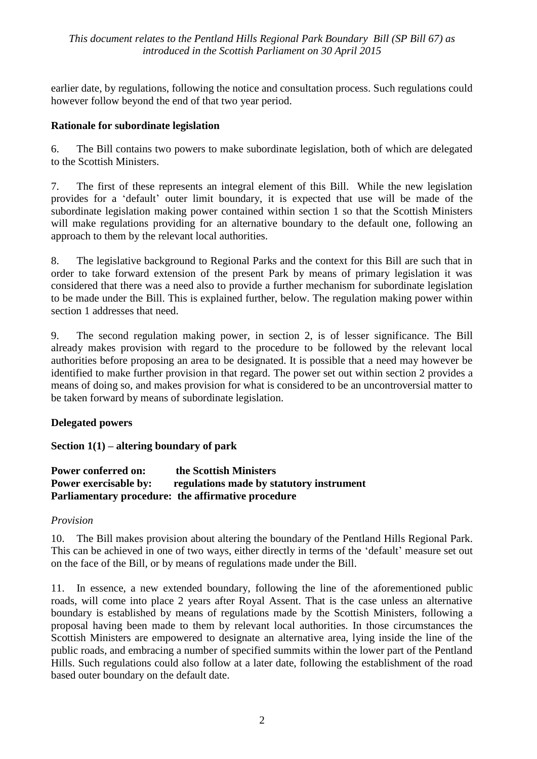#### *This document relates to the Pentland Hills Regional Park Boundary Bill (SP Bill 67) as introduced in the Scottish Parliament on 30 April 2015*

earlier date, by regulations, following the notice and consultation process. Such regulations could however follow beyond the end of that two year period.

#### **Rationale for subordinate legislation**

6. The Bill contains two powers to make subordinate legislation, both of which are delegated to the Scottish Ministers.

7. The first of these represents an integral element of this Bill. While the new legislation provides for a 'default' outer limit boundary, it is expected that use will be made of the subordinate legislation making power contained within section 1 so that the Scottish Ministers will make regulations providing for an alternative boundary to the default one, following an approach to them by the relevant local authorities.

8. The legislative background to Regional Parks and the context for this Bill are such that in order to take forward extension of the present Park by means of primary legislation it was considered that there was a need also to provide a further mechanism for subordinate legislation to be made under the Bill. This is explained further, below. The regulation making power within section 1 addresses that need.

9. The second regulation making power, in section 2, is of lesser significance. The Bill already makes provision with regard to the procedure to be followed by the relevant local authorities before proposing an area to be designated. It is possible that a need may however be identified to make further provision in that regard. The power set out within section 2 provides a means of doing so, and makes provision for what is considered to be an uncontroversial matter to be taken forward by means of subordinate legislation.

#### **Delegated powers**

#### **Section 1(1) – altering boundary of park**

#### **Power conferred on: the Scottish Ministers Power exercisable by:** regulations made by statutory instrument **Parliamentary procedure: the affirmative procedure**

#### *Provision*

10. The Bill makes provision about altering the boundary of the Pentland Hills Regional Park. This can be achieved in one of two ways, either directly in terms of the 'default' measure set out on the face of the Bill, or by means of regulations made under the Bill.

11. In essence, a new extended boundary, following the line of the aforementioned public roads, will come into place 2 years after Royal Assent. That is the case unless an alternative boundary is established by means of regulations made by the Scottish Ministers, following a proposal having been made to them by relevant local authorities. In those circumstances the Scottish Ministers are empowered to designate an alternative area, lying inside the line of the public roads, and embracing a number of specified summits within the lower part of the Pentland Hills. Such regulations could also follow at a later date, following the establishment of the road based outer boundary on the default date.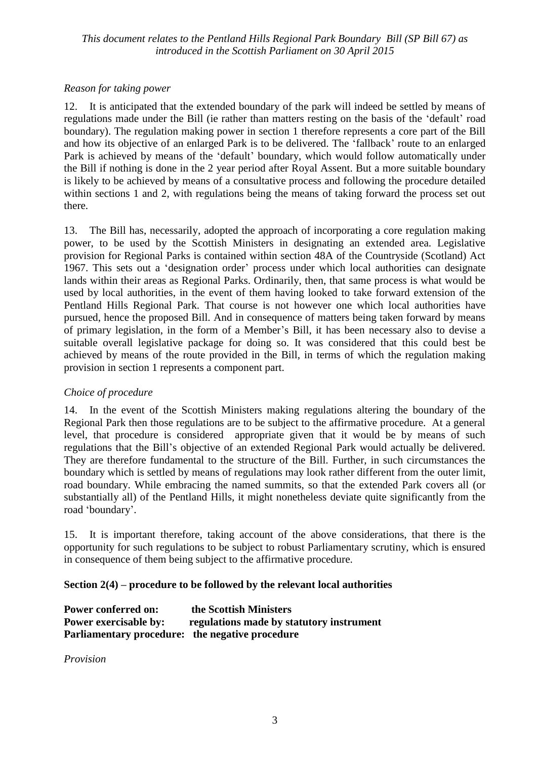#### *This document relates to the Pentland Hills Regional Park Boundary Bill (SP Bill 67) as introduced in the Scottish Parliament on 30 April 2015*

#### *Reason for taking power*

12. It is anticipated that the extended boundary of the park will indeed be settled by means of regulations made under the Bill (ie rather than matters resting on the basis of the 'default' road boundary). The regulation making power in section 1 therefore represents a core part of the Bill and how its objective of an enlarged Park is to be delivered. The 'fallback' route to an enlarged Park is achieved by means of the 'default' boundary, which would follow automatically under the Bill if nothing is done in the 2 year period after Royal Assent. But a more suitable boundary is likely to be achieved by means of a consultative process and following the procedure detailed within sections 1 and 2, with regulations being the means of taking forward the process set out there.

13. The Bill has, necessarily, adopted the approach of incorporating a core regulation making power, to be used by the Scottish Ministers in designating an extended area. Legislative provision for Regional Parks is contained within section 48A of the Countryside (Scotland) Act 1967. This sets out a 'designation order' process under which local authorities can designate lands within their areas as Regional Parks. Ordinarily, then, that same process is what would be used by local authorities, in the event of them having looked to take forward extension of the Pentland Hills Regional Park. That course is not however one which local authorities have pursued, hence the proposed Bill. And in consequence of matters being taken forward by means of primary legislation, in the form of a Member's Bill, it has been necessary also to devise a suitable overall legislative package for doing so. It was considered that this could best be achieved by means of the route provided in the Bill, in terms of which the regulation making provision in section 1 represents a component part.

#### *Choice of procedure*

14. In the event of the Scottish Ministers making regulations altering the boundary of the Regional Park then those regulations are to be subject to the affirmative procedure. At a general level, that procedure is considered appropriate given that it would be by means of such regulations that the Bill's objective of an extended Regional Park would actually be delivered. They are therefore fundamental to the structure of the Bill. Further, in such circumstances the boundary which is settled by means of regulations may look rather different from the outer limit, road boundary. While embracing the named summits, so that the extended Park covers all (or substantially all) of the Pentland Hills, it might nonetheless deviate quite significantly from the road 'boundary'.

15. It is important therefore, taking account of the above considerations, that there is the opportunity for such regulations to be subject to robust Parliamentary scrutiny, which is ensured in consequence of them being subject to the affirmative procedure.

#### **Section 2(4) – procedure to be followed by the relevant local authorities**

| <b>Power conferred on:</b>                      | the Scottish Ministers                   |
|-------------------------------------------------|------------------------------------------|
| <b>Power exercisable by:</b>                    | regulations made by statutory instrument |
| Parliamentary procedure: the negative procedure |                                          |

*Provision*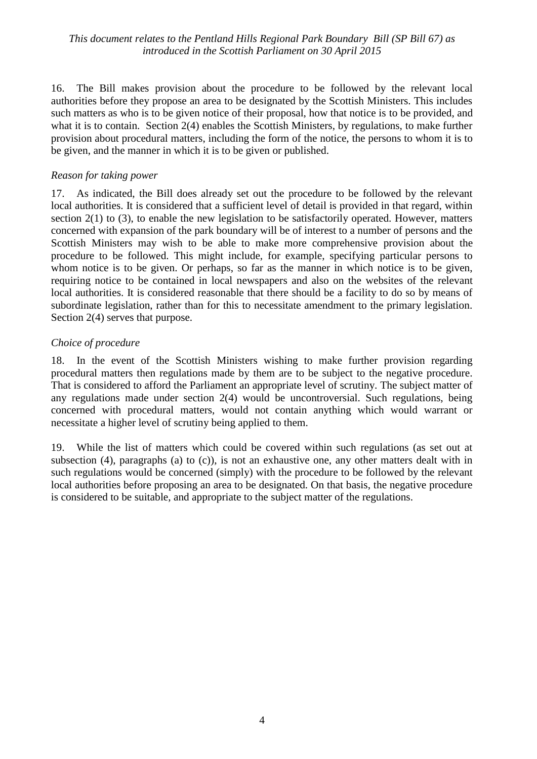#### *This document relates to the Pentland Hills Regional Park Boundary Bill (SP Bill 67) as introduced in the Scottish Parliament on 30 April 2015*

16. The Bill makes provision about the procedure to be followed by the relevant local authorities before they propose an area to be designated by the Scottish Ministers. This includes such matters as who is to be given notice of their proposal, how that notice is to be provided, and what it is to contain. Section 2(4) enables the Scottish Ministers, by regulations, to make further provision about procedural matters, including the form of the notice, the persons to whom it is to be given, and the manner in which it is to be given or published.

#### *Reason for taking power*

17. As indicated, the Bill does already set out the procedure to be followed by the relevant local authorities. It is considered that a sufficient level of detail is provided in that regard, within section 2(1) to (3), to enable the new legislation to be satisfactorily operated. However, matters concerned with expansion of the park boundary will be of interest to a number of persons and the Scottish Ministers may wish to be able to make more comprehensive provision about the procedure to be followed. This might include, for example, specifying particular persons to whom notice is to be given. Or perhaps, so far as the manner in which notice is to be given, requiring notice to be contained in local newspapers and also on the websites of the relevant local authorities. It is considered reasonable that there should be a facility to do so by means of subordinate legislation, rather than for this to necessitate amendment to the primary legislation. Section 2(4) serves that purpose.

#### *Choice of procedure*

18. In the event of the Scottish Ministers wishing to make further provision regarding procedural matters then regulations made by them are to be subject to the negative procedure. That is considered to afford the Parliament an appropriate level of scrutiny. The subject matter of any regulations made under section 2(4) would be uncontroversial. Such regulations, being concerned with procedural matters, would not contain anything which would warrant or necessitate a higher level of scrutiny being applied to them.

19. While the list of matters which could be covered within such regulations (as set out at subsection (4), paragraphs (a) to (c)), is not an exhaustive one, any other matters dealt with in such regulations would be concerned (simply) with the procedure to be followed by the relevant local authorities before proposing an area to be designated. On that basis, the negative procedure is considered to be suitable, and appropriate to the subject matter of the regulations.